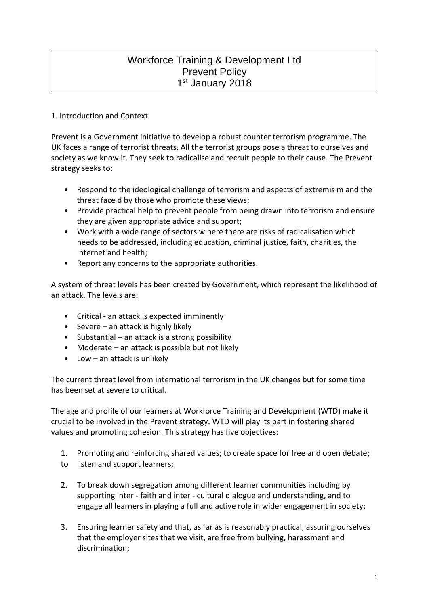# Workforce Training & Development Ltd Prevent Policy 1st January 2018

# 1. Introduction and Context

Prevent is a Government initiative to develop a robust counter terrorism programme. The UK faces a range of terrorist threats. All the terrorist groups pose a threat to ourselves and society as we know it. They seek to radicalise and recruit people to their cause. The Prevent strategy seeks to:

- Respond to the ideological challenge of terrorism and aspects of extremis m and the threat face d by those who promote these views;
- Provide practical help to prevent people from being drawn into terrorism and ensure they are given appropriate advice and support;
- Work with a wide range of sectors w here there are risks of radicalisation which needs to be addressed, including education, criminal justice, faith, charities, the internet and health;
- Report any concerns to the appropriate authorities.

A system of threat levels has been created by Government, which represent the likelihood of an attack. The levels are:

- Critical an attack is expected imminently
- Severe an attack is highly likely
- Substantial an attack is a strong possibility
- Moderate an attack is possible but not likely
- Low an attack is unlikely

The current threat level from international terrorism in the UK changes but for some time has been set at severe to critical.

The age and profile of our learners at Workforce Training and Development (WTD) make it crucial to be involved in the Prevent strategy. WTD will play its part in fostering shared values and promoting cohesion. This strategy has five objectives:

- 1. Promoting and reinforcing shared values; to create space for free and open debate;
- to listen and support learners;
- 2. To break down segregation among different learner communities including by supporting inter - faith and inter - cultural dialogue and understanding, and to engage all learners in playing a full and active role in wider engagement in society;
- 3. Ensuring learner safety and that, as far as is reasonably practical, assuring ourselves that the employer sites that we visit, are free from bullying, harassment and discrimination;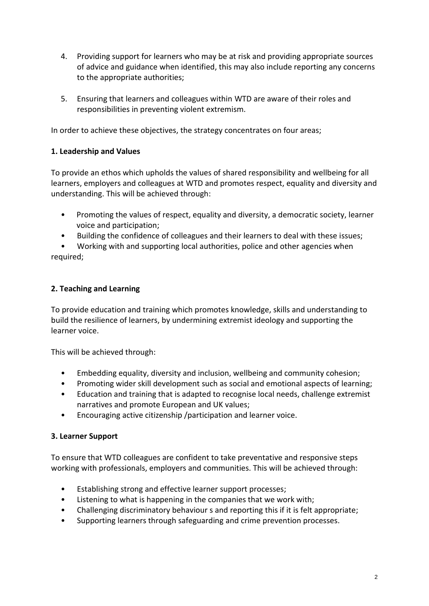- 4. Providing support for learners who may be at risk and providing appropriate sources of advice and guidance when identified, this may also include reporting any concerns to the appropriate authorities;
- 5. Ensuring that learners and colleagues within WTD are aware of their roles and responsibilities in preventing violent extremism.

In order to achieve these objectives, the strategy concentrates on four areas;

## **1. Leadership and Values**

To provide an ethos which upholds the values of shared responsibility and wellbeing for all learners, employers and colleagues at WTD and promotes respect, equality and diversity and understanding. This will be achieved through:

- Promoting the values of respect, equality and diversity, a democratic society, learner voice and participation;
- Building the confidence of colleagues and their learners to deal with these issues;

• Working with and supporting local authorities, police and other agencies when required;

## **2. Teaching and Learning**

To provide education and training which promotes knowledge, skills and understanding to build the resilience of learners, by undermining extremist ideology and supporting the learner voice.

This will be achieved through:

- Embedding equality, diversity and inclusion, wellbeing and community cohesion;
- Promoting wider skill development such as social and emotional aspects of learning;
- Education and training that is adapted to recognise local needs, challenge extremist narratives and promote European and UK values;
- Encouraging active citizenship /participation and learner voice.

# **3. Learner Support**

To ensure that WTD colleagues are confident to take preventative and responsive steps working with professionals, employers and communities. This will be achieved through:

- Establishing strong and effective learner support processes;
- Listening to what is happening in the companies that we work with;
- Challenging discriminatory behaviour s and reporting this if it is felt appropriate;
- Supporting learners through safeguarding and crime prevention processes.